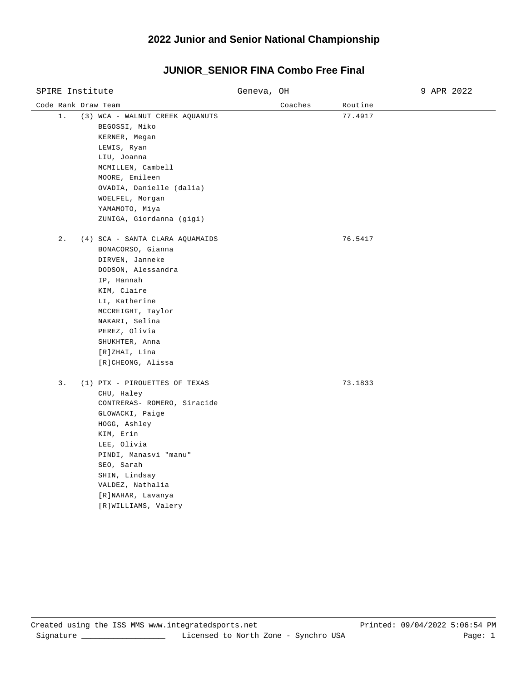## **2022 Junior and Senior National Championship**

#### Code Rank Draw Team and Coaches Routine Routine Routine Routine SPIRE Institute Geneva, OH 9 APR 2022 1. (3) WCA - WALNUT CREEK AQUANUTS 77.4917 BEGOSSI, Miko KERNER, Megan LEWIS, Ryan LIU, Joanna MCMILLEN, Cambell MOORE, Emileen OVADIA, Danielle (dalia) WOELFEL, Morgan YAMAMOTO, Miya ZUNIGA, Giordanna (gigi) 2. (4) SCA - SANTA CLARA AQUAMAIDS 76.5417 BONACORSO, Gianna DIRVEN, Janneke DODSON, Alessandra IP, Hannah KIM, Claire LI, Katherine MCCREIGHT, Taylor NAKARI, Selina PEREZ, Olivia SHUKHTER, Anna [R]ZHAI, Lina [R]CHEONG, Alissa 3. (1) PTX - PIROUETTES OF TEXAS 73.1833 CHU, Haley CONTRERAS- ROMERO, Siracide GLOWACKI, Paige HOGG, Ashley KIM, Erin LEE, Olivia PINDI, Manasvi "manu" SEO, Sarah SHIN, Lindsay VALDEZ, Nathalia [R]NAHAR, Lavanya [R]WILLIAMS, Valery

# **JUNIOR\_SENIOR FINA Combo Free Final**